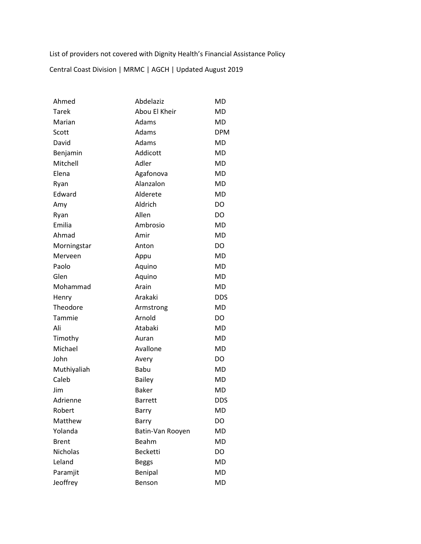List of providers not covered with Dignity Health's Financial Assistance Policy

Central Coast Division | MRMC | AGCH | Updated August 2019

| Ahmed           | Abdelaziz        | MD         |
|-----------------|------------------|------------|
| Tarek           | Abou El Kheir    | MD         |
| Marian          | Adams            | MD         |
| Scott           | Adams            | <b>DPM</b> |
| David           | Adams            | MD         |
| Benjamin        | Addicott         | MD         |
| Mitchell        | Adler            | MD         |
| Elena           | Agafonova        | MD         |
| Ryan            | Alanzalon        | MD         |
| Edward          | Alderete         | MD         |
| Amy             | Aldrich          | DO         |
| Ryan            | Allen            | DO.        |
| Emilia          | Ambrosio         | MD         |
| Ahmad           | Amir             | MD         |
| Morningstar     | Anton            | DO         |
| Merveen         | Appu             | MD         |
| Paolo           | Aquino           | MD         |
| Glen            | Aquino           | <b>MD</b>  |
| Mohammad        | Arain            | MD         |
| Henry           | Arakaki          | <b>DDS</b> |
| Theodore        | Armstrong        | MD         |
| Tammie          | Arnold           | DO         |
| Ali             | Atabaki          | MD         |
| Timothy         | Auran            | MD         |
| Michael         | Avallone         | MD         |
| John            | Avery            | DO         |
| Muthiyaliah     | <b>Babu</b>      | <b>MD</b>  |
| Caleb           | <b>Bailey</b>    | MD         |
| Jim             | <b>Baker</b>     | MD         |
| Adrienne        | <b>Barrett</b>   | DDS        |
| Robert          | <b>Barry</b>     | MD         |
| Matthew         | Barry            | DO         |
| Yolanda         | Batin-Van Rooyen | MD         |
| <b>Brent</b>    | Beahm            | MD         |
| <b>Nicholas</b> | <b>Becketti</b>  | DO.        |
| Leland          | <b>Beggs</b>     | <b>MD</b>  |
| Paramjit        | Benipal          | <b>MD</b>  |
| Jeoffrey        | Benson           | MD         |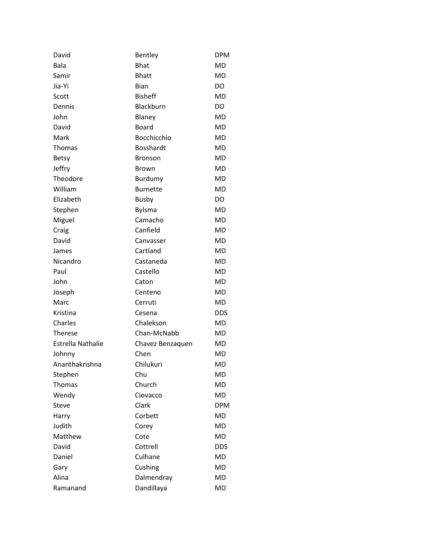| David                    | Bentley          | <b>DPM</b> |
|--------------------------|------------------|------------|
| Bala                     | <b>Bhat</b>      | <b>MD</b>  |
| Samir                    | <b>Bhatt</b>     | <b>MD</b>  |
| Jia-Yi                   | <b>Bian</b>      | DO         |
| Scott                    | <b>Bisheff</b>   | <b>MD</b>  |
| Dennis                   | Blackburn        | DO         |
| John                     | Blaney           | MD         |
| David                    | <b>Board</b>     | <b>MD</b>  |
| Mark                     | Bocchicchio      | MD         |
| Thomas                   | <b>Bosshardt</b> | <b>MD</b>  |
| <b>Betsy</b>             | Bronson          | MD         |
| <b>Jeffry</b>            | <b>Brown</b>     | <b>MD</b>  |
| Theodore                 | Burdumy          | MD         |
| William                  | <b>Burnette</b>  | <b>MD</b>  |
| Elizabeth                | <b>Busby</b>     | DO         |
| Stephen                  | Bylsma           | <b>MD</b>  |
| Miguel                   | Camacho          | MD         |
| Craig                    | Canfield         | <b>MD</b>  |
| David                    | Canvasser        | MD         |
| James                    | Cartland         | <b>MD</b>  |
| Nicandro                 | Castaneda        | MD         |
| Paul                     | Castello         | <b>MD</b>  |
| John                     | Caton            | MD         |
| Joseph                   | Centeno          | <b>MD</b>  |
| Marc                     | Cerruti          | MD         |
| Kristina                 | Cesena           | <b>DDS</b> |
| Charles                  | Chalekson        | MD         |
| <b>Therese</b>           | Chan-McNabb      | <b>MD</b>  |
| <b>Estrella Nathalie</b> | Chavez Benzaquen | <b>MD</b>  |
| Johnny                   | Chen             | MD         |
| Ananthakrishna           | Chilukuri        | MD         |
| Stephen                  | Chu              | <b>MD</b>  |
| Thomas                   | Church           | <b>MD</b>  |
| Wendy                    | Ciovacco         | <b>MD</b>  |
| Steve                    | Clark            | <b>DPM</b> |
| Harry                    | Corbett          | MD         |
| Judith                   | Corey            | MD         |
| Matthew                  | Cote             | <b>MD</b>  |
| David                    | Cottrell         | DDS        |
| Daniel                   | Culhane          | MD         |
| Gary                     | Cushing          | MD         |
| Alina                    | Dalmendray       | MD         |
| Ramanand                 | Dandillaya       | MD         |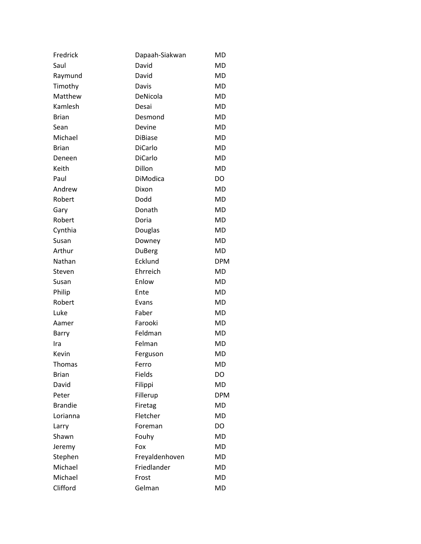| Fredrick       | Dapaah-Siakwan | <b>MD</b>  |
|----------------|----------------|------------|
| Saul           | David          | <b>MD</b>  |
| Raymund        | David          | MD         |
| Timothy        | Davis          | <b>MD</b>  |
| Matthew        | DeNicola       | <b>MD</b>  |
| Kamlesh        | Desai          | <b>MD</b>  |
| <b>Brian</b>   | Desmond        | <b>MD</b>  |
| Sean           | Devine         | <b>MD</b>  |
| Michael        | <b>DiBiase</b> | <b>MD</b>  |
| <b>Brian</b>   | DiCarlo        | <b>MD</b>  |
| Deneen         | <b>DiCarlo</b> | <b>MD</b>  |
| Keith          | Dillon         | <b>MD</b>  |
| Paul           | DiModica       | DO         |
| Andrew         | Dixon          | <b>MD</b>  |
| Robert         | Dodd           | <b>MD</b>  |
| Gary           | Donath         | <b>MD</b>  |
| Robert         | Doria          | <b>MD</b>  |
| Cynthia        | Douglas        | <b>MD</b>  |
| Susan          | Downey         | <b>MD</b>  |
| Arthur         | DuBerg         | <b>MD</b>  |
| Nathan         | Ecklund        | <b>DPM</b> |
| Steven         | Ehrreich       | <b>MD</b>  |
| Susan          | Enlow          | MD         |
| Philip         | Ente           | <b>MD</b>  |
| Robert         | Evans          | <b>MD</b>  |
| Luke           | Faber          | <b>MD</b>  |
| Aamer          | Farooki        | MD         |
| Barry          | Feldman        | <b>MD</b>  |
| Ira            | Felman         | <b>MD</b>  |
| Kevin          | Ferguson       | <b>MD</b>  |
| Thomas         | Ferro          | <b>MD</b>  |
| <b>Brian</b>   | Fields         | DO         |
| David          | Filippi        | MD         |
| Peter          | Fillerup       | <b>DPM</b> |
| <b>Brandie</b> | Firetag        | MD         |
| Lorianna       | Fletcher       | <b>MD</b>  |
| Larry          | Foreman        | DO         |
| Shawn          | Fouhy          | <b>MD</b>  |
| Jeremy         | Fox            | <b>MD</b>  |
| Stephen        | Freyaldenhoven | <b>MD</b>  |
| Michael        | Friedlander    | <b>MD</b>  |
| Michael        | Frost          | <b>MD</b>  |
| Clifford       | Gelman         | MD         |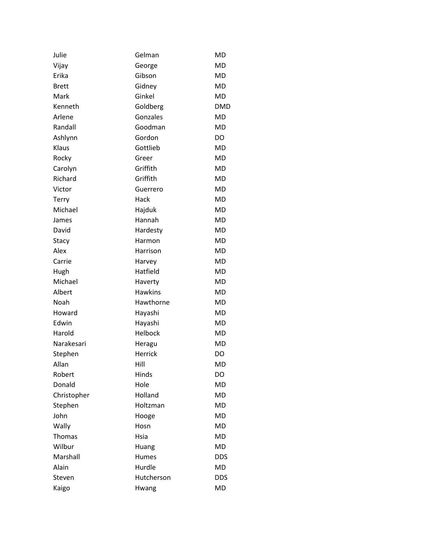| Julie        | Gelman         | MD         |
|--------------|----------------|------------|
| Vijay        | George         | <b>MD</b>  |
| Erika        | Gibson         | MD         |
| <b>Brett</b> | Gidney         | <b>MD</b>  |
| Mark         | Ginkel         | MD         |
| Kenneth      | Goldberg       | <b>DMD</b> |
| Arlene       | Gonzales       | MD         |
| Randall      | Goodman        | <b>MD</b>  |
| Ashlynn      | Gordon         | DO         |
| Klaus        | Gottlieb       | <b>MD</b>  |
| Rocky        | Greer          | MD         |
| Carolyn      | Griffith       | <b>MD</b>  |
| Richard      | Griffith       | MD         |
| Victor       | Guerrero       | MD         |
| Terry        | Hack           | MD         |
| Michael      | Hajduk         | <b>MD</b>  |
| James        | Hannah         | MD         |
| David        | Hardesty       | MD         |
| Stacy        | Harmon         | MD         |
| Alex         | Harrison       | <b>MD</b>  |
| Carrie       | Harvey         | MD         |
| Hugh         | Hatfield       | MD         |
| Michael      | Haverty        | MD         |
| Albert       | <b>Hawkins</b> | <b>MD</b>  |
| Noah         | Hawthorne      | MD         |
| Howard       | Hayashi        | MD         |
| Edwin        | Hayashi        | MD         |
| Harold       | Helbock        | <b>MD</b>  |
| Narakesari   | Heragu         | MD         |
| Stephen      | Herrick        | DO         |
| Allan        | Hill           | MD         |
| Robert       | Hinds          | <b>DO</b>  |
| Donald       | Hole           | MD         |
| Christopher  | Holland        | <b>MD</b>  |
| Stephen      | Holtzman       | MD         |
| John         | Hooge          | <b>MD</b>  |
| Wally        | Hosn           | <b>MD</b>  |
| Thomas       | Hsia           | <b>MD</b>  |
| Wilbur       | Huang          | <b>MD</b>  |
| Marshall     | Humes          | <b>DDS</b> |
| Alain        | Hurdle         | MD         |
| Steven       | Hutcherson     | <b>DDS</b> |
| Kaigo        | Hwang          | MD         |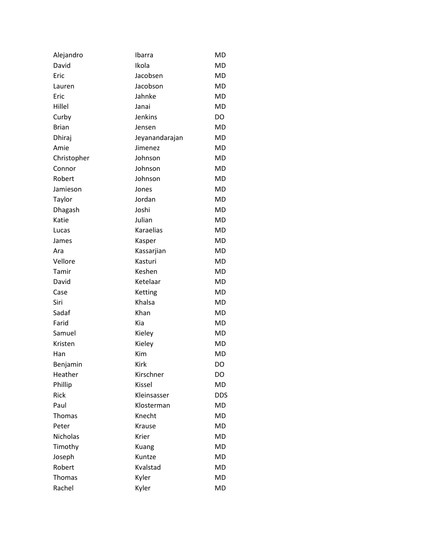| Alejandro       | Ibarra         | <b>MD</b>  |
|-----------------|----------------|------------|
| David           | Ikola          | MD         |
| Eric            | Jacobsen       | <b>MD</b>  |
| Lauren          | Jacobson       | MD         |
| Eric            | Jahnke         | MD         |
| Hillel          | Janai          | MD         |
| Curby           | <b>Jenkins</b> | DO         |
| <b>Brian</b>    | Jensen         | <b>MD</b>  |
| Dhiraj          | Jeyanandarajan | <b>MD</b>  |
| Amie            | Jimenez        | MD         |
| Christopher     | Johnson        | MD         |
| Connor          | Johnson        | MD         |
| Robert          | Johnson        | MD         |
| Jamieson        | Jones          | MD         |
| Taylor          | Jordan         | MD         |
| Dhagash         | Joshi          | <b>MD</b>  |
| Katie           | Julian         | MD         |
| Lucas           | Karaelias      | MD         |
| James           | Kasper         | MD         |
| Ara             | Kassarjian     | MD         |
| Vellore         | Kasturi        | MD         |
| Tamir           | Keshen         | MD         |
| David           | Ketelaar       | MD         |
| Case            | Ketting        | MD         |
| Siri            | Khalsa         | MD         |
| Sadaf           | Khan           | MD         |
| Farid           | Kia            | <b>MD</b>  |
| Samuel          | Kieley         | MD         |
| Kristen         | Kieley         | MD         |
| Han             | Kim            | <b>MD</b>  |
| Benjamin        | <b>Kirk</b>    | DO         |
| Heather         | Kirschner      | DO         |
| Phillip         | Kissel         | MD         |
| Rick            | Kleinsasser    | <b>DDS</b> |
| Paul            | Klosterman     | MD         |
| <b>Thomas</b>   | Knecht         | MD         |
| Peter           | Krause         | MD         |
| <b>Nicholas</b> | Krier          | <b>MD</b>  |
| Timothy         | Kuang          | MD         |
| Joseph          | Kuntze         | MD         |
| Robert          | Kvalstad       | MD         |
| Thomas          | Kyler          | <b>MD</b>  |
| Rachel          | Kyler          | MD         |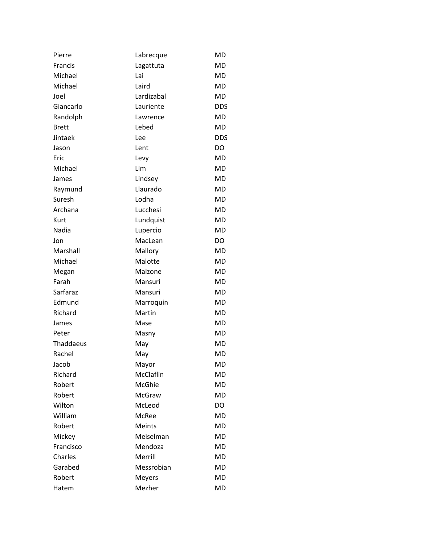| Pierre       | Labrecque     | MD         |
|--------------|---------------|------------|
| Francis      | Lagattuta     | <b>MD</b>  |
| Michael      | Lai           | MD         |
| Michael      | Laird         | MD         |
| Joel         | Lardizabal    | MD         |
| Giancarlo    | Lauriente     | <b>DDS</b> |
| Randolph     | Lawrence      | MD         |
| <b>Brett</b> | Lebed         | <b>MD</b>  |
| Jintaek      | Lee           | <b>DDS</b> |
| Jason        | Lent          | DO         |
| Eric         | Levy          | MD         |
| Michael      | Lim           | <b>MD</b>  |
| James        | Lindsey       | MD         |
| Raymund      | Llaurado      | MD         |
| Suresh       | Lodha         | <b>MD</b>  |
| Archana      | Lucchesi      | <b>MD</b>  |
| Kurt         | Lundquist     | MD         |
| Nadia        | Lupercio      | <b>MD</b>  |
| Jon          | MacLean       | DO         |
| Marshall     | Mallory       | <b>MD</b>  |
| Michael      | Malotte       | MD         |
| Megan        | Malzone       | <b>MD</b>  |
| Farah        | Mansuri       | MD         |
| Sarfaraz     | Mansuri       | <b>MD</b>  |
| Edmund       | Marroquin     | MD         |
| Richard      | Martin        | MD         |
| James        | Mase          | MD         |
| Peter        | Masny         | <b>MD</b>  |
| Thaddaeus    | May           | <b>MD</b>  |
| Rachel       | May           | <b>MD</b>  |
| Jacob        | Mayor         | MD         |
| Richard      | McClaflin     | <b>MD</b>  |
| Robert       | McGhie        | <b>MD</b>  |
| Robert       | McGraw        | <b>MD</b>  |
| Wilton       | McLeod        | DO.        |
| William      | McRee         | <b>MD</b>  |
| Robert       | Meints        | <b>MD</b>  |
| Mickey       | Meiselman     | <b>MD</b>  |
| Francisco    | Mendoza       | <b>MD</b>  |
| Charles      | Merrill       | <b>MD</b>  |
| Garabed      | Messrobian    | <b>MD</b>  |
| Robert       | <b>Meyers</b> | <b>MD</b>  |
| Hatem        | Mezher        | MD         |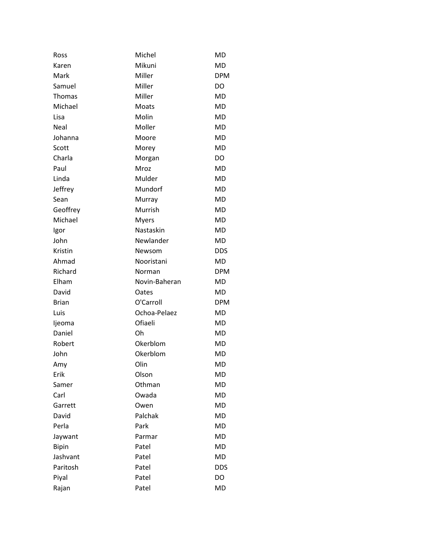| Ross          | Michel        | <b>MD</b>  |
|---------------|---------------|------------|
| Karen         | Mikuni        | <b>MD</b>  |
| Mark          | Miller        | <b>DPM</b> |
| Samuel        | Miller        | <b>DO</b>  |
| <b>Thomas</b> | Miller        | MD         |
| Michael       | Moats         | <b>MD</b>  |
| Lisa          | Molin         | MD         |
| Neal          | Moller        | <b>MD</b>  |
| Johanna       | Moore         | MD         |
| Scott         | Morey         | <b>MD</b>  |
| Charla        | Morgan        | DO         |
| Paul          | Mroz          | <b>MD</b>  |
| Linda         | Mulder        | MD         |
| Jeffrey       | Mundorf       | <b>MD</b>  |
| Sean          | Murray        | MD         |
| Geoffrey      | Murrish       | <b>MD</b>  |
| Michael       | <b>Myers</b>  | MD         |
| Igor          | Nastaskin     | <b>MD</b>  |
| John          | Newlander     | MD         |
| Kristin       | Newsom        | <b>DDS</b> |
| Ahmad         | Nooristani    | MD         |
| Richard       | Norman        | <b>DPM</b> |
| Elham         | Novin-Baheran | MD         |
| David         | Oates         | MD         |
| <b>Brian</b>  | O'Carroll     | <b>DPM</b> |
| Luis          | Ochoa-Pelaez  | <b>MD</b>  |
| ljeoma        | Ofiaeli       | <b>MD</b>  |
| Daniel        | Oh            | <b>MD</b>  |
| Robert        | Okerblom      | <b>MD</b>  |
| John          | Okerblom      | <b>MD</b>  |
| Amy           | Olin          | MD         |
| Erik          | Olson         | <b>MD</b>  |
| Samer         | Othman        | MD         |
| Carl          | Owada         | <b>MD</b>  |
| Garrett       | Owen          | MD         |
| David         | Palchak       | <b>MD</b>  |
| Perla         | Park          | MD         |
| Jaywant       | Parmar        | <b>MD</b>  |
| <b>Bipin</b>  | Patel         | MD         |
| Jashvant      | Patel         | <b>MD</b>  |
| Paritosh      | Patel         | <b>DDS</b> |
| Piyal         | Patel         | DO         |
| Rajan         | Patel         | MD         |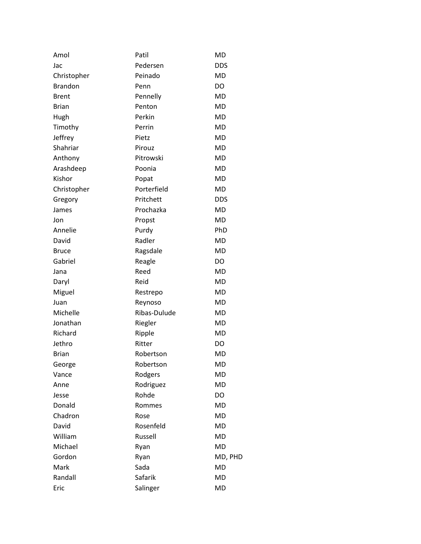| Amol           | Patil        | <b>MD</b>  |
|----------------|--------------|------------|
| Jac            | Pedersen     | <b>DDS</b> |
| Christopher    | Peinado      | <b>MD</b>  |
| <b>Brandon</b> | Penn         | DO         |
| <b>Brent</b>   | Pennelly     | <b>MD</b>  |
| <b>Brian</b>   | Penton       | <b>MD</b>  |
| Hugh           | Perkin       | <b>MD</b>  |
| Timothy        | Perrin       | <b>MD</b>  |
| Jeffrey        | Pietz        | <b>MD</b>  |
| Shahriar       | Pirouz       | <b>MD</b>  |
| Anthony        | Pitrowski    | <b>MD</b>  |
| Arashdeep      | Poonia       | <b>MD</b>  |
| Kishor         | Popat        | <b>MD</b>  |
| Christopher    | Porterfield  | MD         |
| Gregory        | Pritchett    | <b>DDS</b> |
| James          | Prochazka    | <b>MD</b>  |
| Jon            | Propst       | <b>MD</b>  |
| Annelie        | Purdy        | PhD        |
| David          | Radler       | <b>MD</b>  |
| <b>Bruce</b>   | Ragsdale     | <b>MD</b>  |
| Gabriel        | Reagle       | DO         |
| Jana           | Reed         | MD         |
| Daryl          | Reid         | <b>MD</b>  |
| Miguel         | Restrepo     | <b>MD</b>  |
| Juan           | Reynoso      | <b>MD</b>  |
| Michelle       | Ribas-Dulude | MD         |
| Jonathan       | Riegler      | <b>MD</b>  |
| Richard        | Ripple       | <b>MD</b>  |
| Jethro         | Ritter       | DO         |
| <b>Brian</b>   | Robertson    | <b>MD</b>  |
| George         | Robertson    | <b>MD</b>  |
| Vance          | Rodgers      | <b>MD</b>  |
| Anne           | Rodriguez    | <b>MD</b>  |
| Jesse          | Rohde        | DO         |
| Donald         | Rommes       | MD         |
| Chadron        | Rose         | <b>MD</b>  |
| David          | Rosenfeld    | <b>MD</b>  |
| William        | Russell      | <b>MD</b>  |
| Michael        | Ryan         | <b>MD</b>  |
| Gordon         | Ryan         | MD, PHD    |
| Mark           | Sada         | <b>MD</b>  |
| Randall        | Safarik      | <b>MD</b>  |
| Eric           | Salinger     | MD         |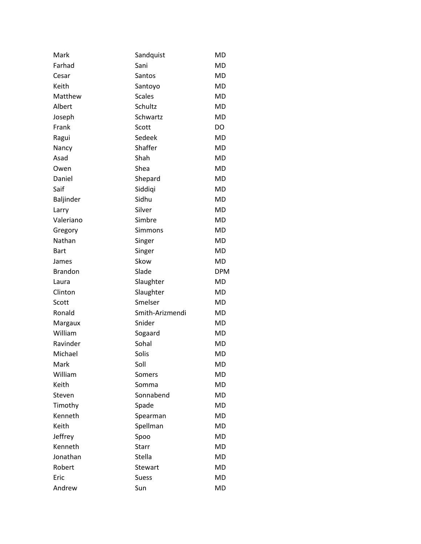| Mark           | Sandquist       | <b>MD</b>  |
|----------------|-----------------|------------|
| Farhad         | Sani            | <b>MD</b>  |
| Cesar          | Santos          | MD         |
| Keith          | Santoyo         | MD         |
| Matthew        | <b>Scales</b>   | MD         |
| Albert         | Schultz         | <b>MD</b>  |
| Joseph         | Schwartz        | MD         |
| Frank          | Scott           | DO         |
| Ragui          | Sedeek          | MD         |
| Nancy          | Shaffer         | <b>MD</b>  |
| Asad           | Shah            | MD         |
| Owen           | Shea            | MD         |
| Daniel         | Shepard         | MD         |
| Saif           | Siddiqi         | MD         |
| Baljinder      | Sidhu           | MD         |
| Larry          | Silver          | MD         |
| Valeriano      | Simbre          | MD         |
| Gregory        | Simmons         | MD         |
| Nathan         | Singer          | MD         |
| <b>Bart</b>    | Singer          | MD         |
| James          | Skow            | MD         |
| <b>Brandon</b> | Slade           | <b>DPM</b> |
| Laura          | Slaughter       | MD         |
| Clinton        | Slaughter       | MD         |
| Scott          | Smelser         | MD         |
| Ronald         | Smith-Arizmendi | MD         |
| Margaux        | Snider          | MD         |
| William        | Sogaard         | MD         |
| Ravinder       | Sohal           | MD         |
| Michael        | Solis           | MD         |
| Mark           | Soll            | <b>MD</b>  |
| William        | Somers          | <b>MD</b>  |
| Keith          | Somma           | MD         |
| Steven         | Sonnabend       | <b>MD</b>  |
| Timothy        | Spade           | MD         |
| Kenneth        | Spearman        | MD         |
| Keith          | Spellman        | MD         |
| Jeffrey        | Spoo            | <b>MD</b>  |
| Kenneth        | Starr           | MD         |
| Jonathan       | Stella          | MD         |
| Robert         | Stewart         | MD         |
| Eric           | <b>Suess</b>    | <b>MD</b>  |
| Andrew         | Sun             | MD         |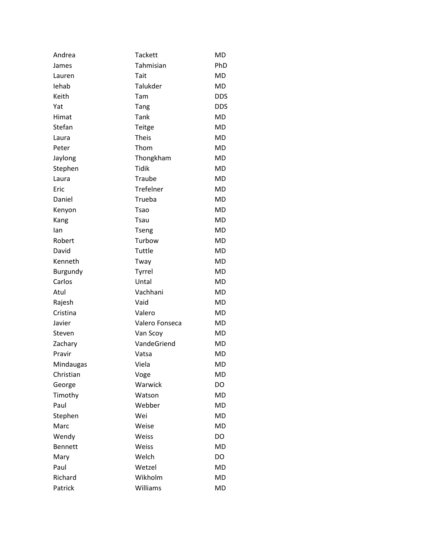| Andrea          | <b>Tackett</b> | <b>MD</b>  |
|-----------------|----------------|------------|
| James           | Tahmisian      | PhD        |
| Lauren          | Tait           | MD         |
| lehab           | Talukder       | MD         |
| Keith           | Tam            | <b>DDS</b> |
| Yat             | Tang           | <b>DDS</b> |
| Himat           | Tank           | MD         |
| Stefan          | Teitge         | MD         |
| Laura           | <b>Theis</b>   | MD         |
| Peter           | Thom           | MD         |
| Jaylong         | Thongkham      | MD         |
| Stephen         | <b>Tidik</b>   | MD         |
| Laura           | Traube         | MD         |
| Eric            | Trefelner      | MD         |
| Daniel          | Trueba         | MD         |
| Kenyon          | Tsao           | MD         |
| Kang            | Tsau           | MD         |
| lan             | Tseng          | <b>MD</b>  |
| Robert          | Turbow         | MD         |
| David           | Tuttle         | MD         |
| Kenneth         | Tway           | MD         |
| <b>Burgundy</b> | Tyrrel         | MD         |
| Carlos          | Untal          | MD         |
| Atul            | Vachhani       | MD         |
| Rajesh          | Vaid           | MD         |
| Cristina        | Valero         | MD         |
| Javier          | Valero Fonseca | MD         |
| Steven          | Van Scoy       | MD         |
| Zachary         | VandeGriend    | <b>MD</b>  |
| Pravir          | Vatsa          | <b>MD</b>  |
| Mindaugas       | Viela          | <b>MD</b>  |
| Christian       | Voge           | <b>MD</b>  |
| George          | Warwick        | DO         |
| Timothy         | Watson         | <b>MD</b>  |
| Paul            | Webber         | MD         |
| Stephen         | Wei            | <b>MD</b>  |
| Marc            | Weise          | <b>MD</b>  |
| Wendy           | Weiss          | DO         |
| <b>Bennett</b>  | Weiss          | MD         |
| Mary            | Welch          | DO         |
| Paul            | Wetzel         | MD         |
| Richard         | Wikholm        | <b>MD</b>  |
| Patrick         | Williams       | <b>MD</b>  |